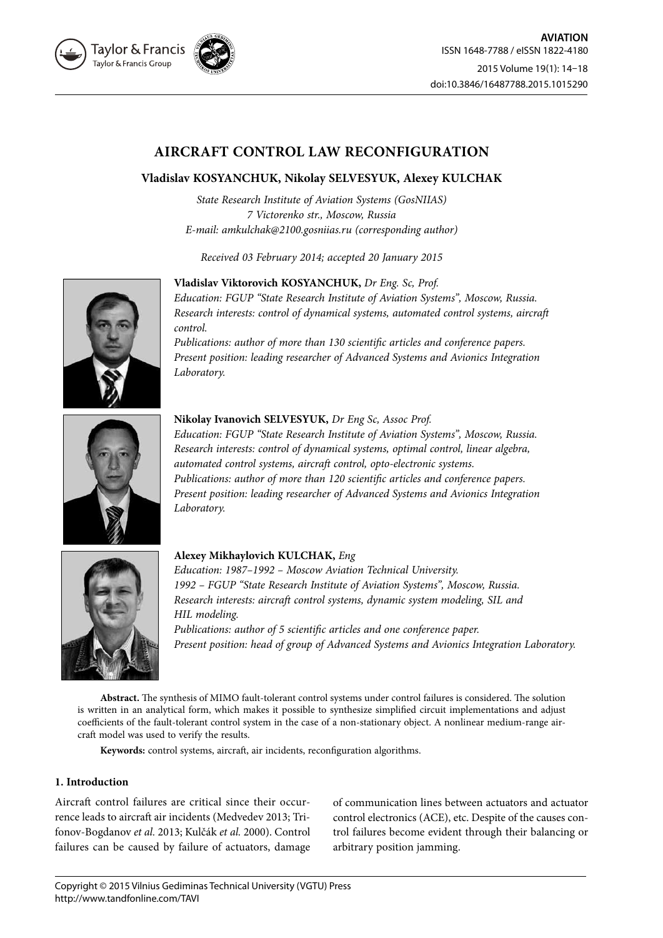

# **AIRCRAFT CONTROL LAW RECONFIGURATION**

## **Vladislav KOSYANCHUK, Nikolay SELVESYUK, Alexey KULCHAK**

*State Research Institute of Aviation Systems (GosNIIAS) 7 Victorenko str., Moscow, Russia E-mail: amkulchak@2100.gosniias.ru (corresponding author)*

*Received 03 February 2014; accepted 20 January 2015*



**Vladislav Viktorovich KOSYANCHUK,** *Dr Eng. Sc, Prof.*

*Education: FGUP "State Research Institute of Aviation Systems", Moscow, Russia. Research interests: control of dynamical systems, automated control systems, aircraft control.*

*Publications: author of more than 130 scientific articles and conference papers. Present position: leading researcher of Advanced Systems and Avionics Integration Laboratory.*



**Nikolay Ivanovich SELVESYUK,** *Dr Eng Sc, Assoc Prof.*

*Education: FGUP "State Research Institute of Aviation Systems", Moscow, Russia. Research interests: control of dynamical systems, optimal control, linear algebra, automated control systems, aircraft control, opto-electronic systems. Publications: author of more than 120 scientific articles and conference papers. Present position: leading researcher of Advanced Systems and Avionics Integration Laboratory.*



## **Alexey Mikhaylovich KULCHAK,** *Eng*

*Education: 1987–1992 – Moscow Aviation Technical University. 1992 – FGUP "State Research Institute of Aviation Systems", Moscow, Russia. Research interests: aircraft control systems, dynamic system modeling, SIL and HIL modeling.*

*Publications: author of 5 scientific articles and one conference paper. Present position: head of group of Advanced Systems and Avionics Integration Laboratory.*

**Abstract.** The synthesis of MIMO fault-tolerant control systems under control failures is considered. The solution is written in an analytical form, which makes it possible to synthesize simplified circuit implementations and adjust coefficients of the fault-tolerant control system in the case of a non-stationary object. А nonlinear medium-range aircraft model was used to verify the results.

**Keywords:** control systems, aircraft, air incidents, reconfiguration algorithms.

## **1. Introduction**

Aircraft control failures are critical since their occurrence leads to aircraft air incidents (Medvedev 2013; Trifonov-Bogdanov *et al.* 2013; Kulčák *et al.* 2000). Control failures can be caused by failure of actuators, damage of communication lines between actuators and actuator control electronics (ACE), etc. Despite of the causes control failures become evident through their balancing or arbitrary position jamming.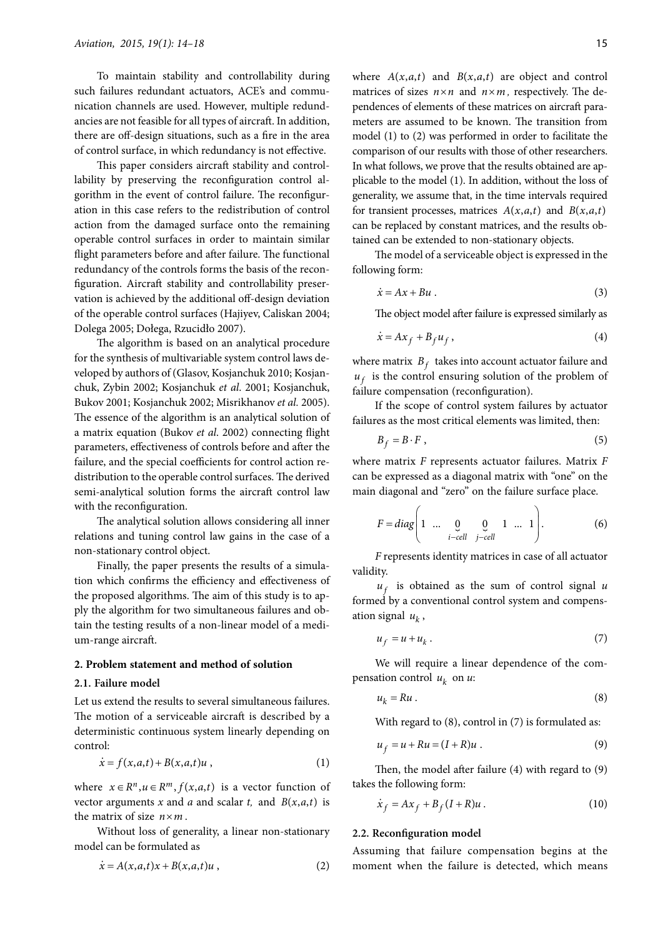To maintain stability and controllability during such failures redundant actuators, ACE's and communication channels are used. However, multiple redundancies are not feasible for all types of aircraft. In addition, there are off-design situations, such as a fire in the area of control surface, in which redundancy is not effective.

This paper considers aircraft stability and controllability by preserving the reconfiguration control algorithm in the event of control failure. The reconfiguration in this case refers to the redistribution of control action from the damaged surface onto the remaining operable control surfaces in order to maintain similar flight parameters before and after failure. The functional redundancy of the controls forms the basis of the reconfiguration. Aircraft stability and controllability preservation is achieved by the additional off-design deviation of the operable control surfaces (Hajiyev, Caliskan 2004; Dolega 2005; Dołega, Rzucidło 2007).

The algorithm is based on an analytical procedure for the synthesis of multivariable system control laws developed by authors of (Glasov, Kosjanchuk 2010; Kosjanchuk, Zybin 2002; Kosjanchuk *et al*. 2001; Kosjanchuk, Bukov 2001; Kosjanchuk 2002; Misrikhanov *et al.* 2005). The essence of the algorithm is an analytical solution of a matrix equation (Bukov *et al*. 2002) connecting flight parameters, effectiveness of controls before and after the failure, and the special coefficients for control action redistribution to the operable control surfaces. The derived semi-analytical solution forms the aircraft control law with the reconfiguration.

The analytical solution allows considering all inner relations and tuning control law gains in the case of a non-stationary control object.

Finally, the paper presents the results of a simulation which confirms the efficiency and effectiveness of the proposed algorithms. The aim of this study is to apply the algorithm for two simultaneous failures and obtain the testing results of a non-linear model of a medium-range aircraft.

#### **2. Problem statement and method of solution**

### **2.1. Failure model**

Let us extend the results to several simultaneous failures. The motion of a serviceable aircraft is described by a deterministic continuous system linearly depending on control:

$$
\dot{x} = f(x, a, t) + B(x, a, t)u,
$$
\n(1)

where  $x \in R^n, u \in R^m, f(x, a, t)$  is a vector function of vector arguments *x* and *a* and scalar *t*, and  $B(x, a, t)$  is the matrix of size  $n \times m$ .

Without loss of generality, a linear non-stationary model can be formulated as

$$
\dot{x} = A(x,a,t)x + B(x,a,t)u , \qquad (2)
$$

where  $A(x, a, t)$  and  $B(x, a, t)$  are object and control matrices of sizes  $n \times n$  and  $n \times m$ , respectively. The dependences of elements of these matrices on aircraft parameters are assumed to be known. The transition from model (1) to (2) was performed in order to facilitate the comparison of our results with those of other researchers. In what follows, we prove that the results obtained are applicable to the model (1). In addition, without the loss of generality, we assume that, in the time intervals required for transient processes, matrices  $A(x, a, t)$  and  $B(x, a, t)$ can be replaced by constant matrices, and the results obtained can be extended to non-stationary objects.

The model of a serviceable object is expressed in the following form:

$$
\dot{x} = Ax + Bu \tag{3}
$$

The object model after failure is expressed similarly as

$$
\dot{x} = Ax_f + B_f u_f, \qquad (4)
$$

where matrix  $B_f$  takes into account actuator failure and  $u_f$  is the control ensuring solution of the problem of failure compensation (reconfiguration).

If the scope of control system failures by actuator failures as the most critical elements was limited, then:

$$
B_f = B \cdot F \tag{5}
$$

where matrix *F* represents actuator failures. Matrix *F* can be expressed as a diagonal matrix with "one" on the main diagonal and "zero" on the failure surface place.

$$
F = diag\left(1 \quad \dots \quad \underset{i-\text{cell}}{\underbrace{0}} \quad \underset{j-\text{cell}}{\underbrace{0}} \quad 1 \quad \dots \quad 1\right). \tag{6}
$$

*F* represents identity matrices in case of all actuator validity.

 $u_f$  is obtained as the sum of control signal  $u$ formed by a conventional control system and compensation signal  $u_k$ ,

$$
u_f = u + u_k. \tag{7}
$$

We will require a linear dependence of the compensation control  $u_k$  on  $u$ .

$$
u_k = Ru. \t\t(8)
$$

With regard to  $(8)$ , control in  $(7)$  is formulated as:

$$
u_f = u + Ru = (I + R)u \tag{9}
$$

Then, the model after failure (4) with regard to (9) takes the following form:

$$
\dot{x}_f = Ax_f + B_f(I+R)u. \tag{10}
$$

#### **2.2. Reconfiguration model**

Assuming that failure compensation begins at the moment when the failure is detected, which means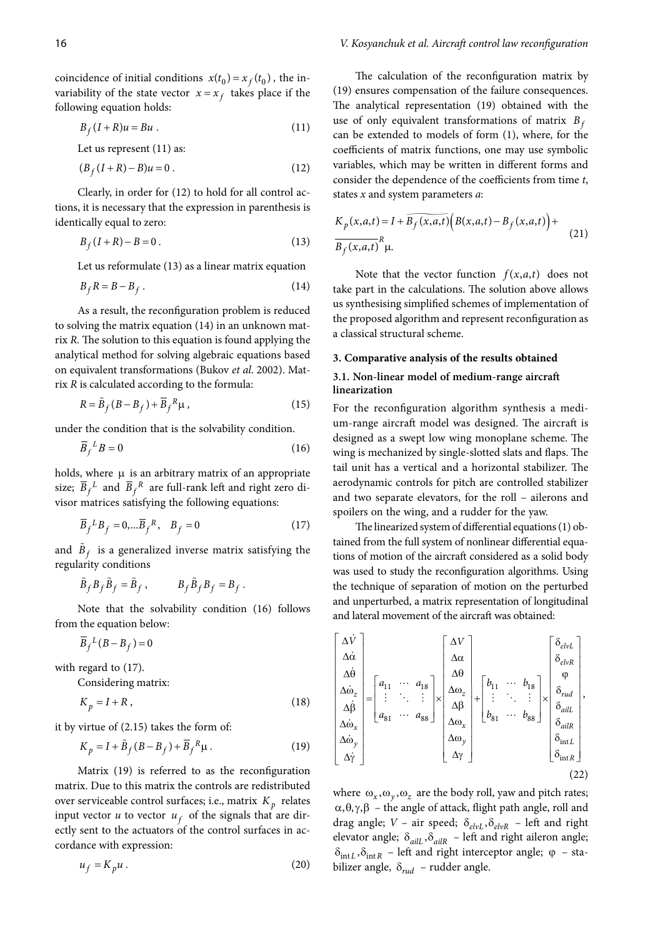coincidence of initial conditions  $x(t_0) = x_f(t_0)$ , the invariability of the state vector  $x = x_f$  takes place if the following equation holds:

$$
B_f(I+R)u = Bu.
$$
 (11)

Let us represent (11) as:

$$
(B_f (I + R) - B)u = 0.
$$
 (12)

Clearly, in order for (12) to hold for all control actions, it is necessary that the expression in parenthesis is identically equal to zero:

$$
B_f(I+R)-B=0.
$$
\n(13)

Let us reformulate (13) as a linear matrix equation

$$
B_f R = B - B_f \tag{14}
$$

As a result, the reconfiguration problem is reduced to solving the matrix equation (14) in an unknown matrix *R.* The solution to this equation is found applying the analytical method for solving algebraic equations based on equivalent transformations (Bukov *et al*. 2002). Matrix *R* is calculated according to the formula:

$$
R = \tilde{B}_f (B - B_f) + \overline{B}_f^R \mu, \qquad (15)
$$

under the condition that is the solvability condition.

$$
\overline{B}_f{}^L B = 0 \tag{16}
$$

holds, where  $\mu$  is an arbitrary matrix of an appropriate size;  $\overline{B}_f{}^L$  and  $\overline{B}_f{}^R$  are full-rank left and right zero divisor matrices satisfying the following equations:

$$
\overline{B}_f{}^L B_f = 0, \dots \overline{B}_f{}^R, \quad B_f = 0 \tag{17}
$$

and  $B_f$  is a generalized inverse matrix satisfying the regularity conditions

$$
\tilde{B}_f B_f \tilde{B}_f = \tilde{B}_f , \qquad B_f \tilde{B}_f B_f = B_f .
$$

Note that the solvability condition (16) follows from the equation below:

 $\overline{B}_f^L(B-B_f)=0$ 

with regard to (17).

Considering matrix:

$$
K_p = I + R, \t\t(18)
$$

it by virtue of (2.15) takes the form of:

$$
K_p = I + \tilde{B}_f (B - B_f) + \overline{B}_f^R \mu. \tag{19}
$$

Matrix (19) is referred to as the reconfiguration matrix. Due to this matrix the controls are redistributed over serviceable control surfaces; i.e., matrix  $K_p$  relates input vector  $u$  to vector  $u_f$  of the signals that are directly sent to the actuators of the control surfaces in accordance with expression:

$$
u_f = K_p u \,. \tag{20}
$$

The calculation of the reconfiguration matrix by (19) ensures compensation of the failure consequences. The analytical representation (19) obtained with the use of only equivalent transformations of matrix  $B_f$ can be extended to models of form (1), where, for the coefficients of matrix functions, one may use symbolic variables, which may be written in different forms and consider the dependence of the coefficients from time *t*, states *x* and system parameters *a*:

$$
K_p(x,a,t) = I + \overline{B_f(x,a,t)} \Big( B(x,a,t) - B_f(x,a,t) \Big) +
$$
  
\n
$$
\overline{B_f(x,a,t)}^R \mu.
$$
\n(21)

Note that the vector function  $f(x, a, t)$  does not take part in the calculations. The solution above allows us synthesising simplified schemes of implementation of the proposed algorithm and represent reconfiguration as a classical structural scheme.

#### **3. Comparative analysis of the results obtained**

### **3.1. Non-linear model of medium-range aircraft linearization**

For the reconfiguration algorithm synthesis a medium-range aircraft model was designed. The aircraft is designed as a swept low wing monoplane scheme. The wing is mechanized by single-slotted slats and flaps. The tail unit has a vertical and a horizontal stabilizer. The aerodynamic controls for pitch are controlled stabilizer and two separate elevators, for the roll – ailerons and spoilers on the wing, and a rudder for the yaw.

The linearized system of differential equations (1) obtained from the full system of nonlinear differential equations of motion of the aircraft considered as a solid body was used to study the reconfiguration algorithms. Using the technique of separation of motion on the perturbed and unperturbed, a matrix representation of longitudinal and lateral movement of the aircraft was obtained:

$$
\begin{bmatrix}\n\Delta \dot{V} \\
\Delta \dot{\alpha} \\
\Delta \dot{\theta} \\
\Delta \dot{\omega}_{z} \\
\Delta \dot{\beta} \\
\Delta \dot{\omega}_{x} \\
\Delta \dot{\omega}_{y} \\
\Delta \dot{\gamma}\n\end{bmatrix} = \begin{bmatrix}\na_{11} & \cdots & a_{18} \\
a_{11} & \cdots & a_{18} \\
\vdots & \ddots & \vdots \\
a_{81} & \cdots & a_{88}\n\end{bmatrix} \times \begin{bmatrix}\n\Delta V \\
\Delta \theta \\
\Delta \phi_{z} \\
\Delta \phi_{z} \\
\Delta \phi_{x} \\
\Delta \omega_{y} \\
\Delta \phi_{y}\n\end{bmatrix} + \begin{bmatrix}\nb_{11} & \cdots & b_{18} \\
\vdots & \ddots & \vdots \\
b_{81} & \cdots & b_{88}\n\end{bmatrix} \times \begin{bmatrix}\n\delta_{elvL} \\
\delta_{elvR} \\
\delta_{vH} \\
\delta_{ailR} \\
\delta_{inlR} \\
\delta_{inlR}\n\end{bmatrix},
$$
\n(22)

where  $\omega_x, \omega_y, \omega_z$  are the body roll, yaw and pitch rates;  $\alpha$ , θ, γ, β – the angle of attack, flight path angle, roll and drag angle;  $V$  – air speed;  $\delta_{elvL}$ ,  $\delta_{elvR}$  – left and right elevator angle;  $\delta_{ailL}$ ,  $\delta_{ailR}$  – left and right aileron angle;  $\delta_{\text{int}L}$ ,  $\delta_{\text{int}R}$  – left and right interceptor angle;  $\varphi$  – stabilizer angle,  $\delta_{\text{rad}}$  – rudder angle.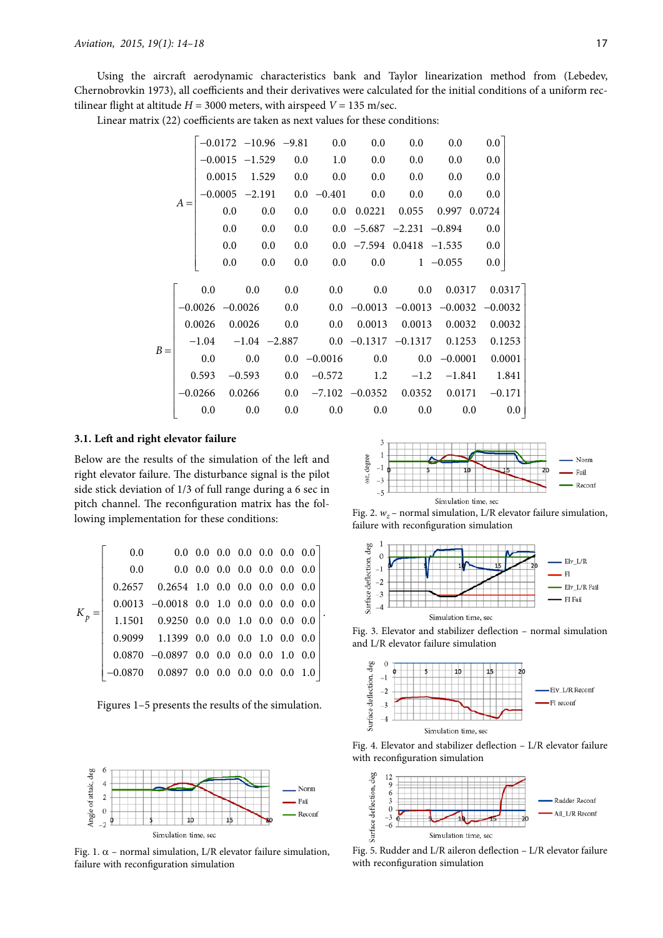Using the aircraft aerodynamic characteristics bank and Taylor linearization method from (Lebedev, Chernobrovkin 1973), all coefficients and their derivatives were calculated for the initial conditions of a uniform rectilinear flight at altitude  $H = 3000$  meters, with airspeed  $V = 135$  m/sec.

Linear matrix (22) coefficients are taken as next values for these conditions:

|       |         |           |        |          |         |                         | $-0.0172$ $-10.96$ $-9.81$ 0.0  | 0.0                                                 | 0.0       | 0.0                | $0.0\,$ |          |
|-------|---------|-----------|--------|----------|---------|-------------------------|---------------------------------|-----------------------------------------------------|-----------|--------------------|---------|----------|
|       | $A =$   |           |        |          |         | $-0.0015$ $-1.529$ 0.0  | 1.0                             | 0.0                                                 | 0.0       | 0.0                | 0.0     |          |
|       |         |           | 0.0015 |          |         | $1.529$ 0.0             | 0.0                             | 0.0                                                 | 0.0       | 0.0                | 0.0     |          |
|       |         |           |        |          |         |                         | $-0.0005$ $-2.191$ 0.0 $-0.401$ | 0.0                                                 | 0.0       | 0.0                | 0.0     |          |
|       |         |           | 0.0    |          | 0.0     | 0.0                     |                                 | $0.0$ $0.0221$                                      |           | 0.055 0.997 0.0724 |         |          |
|       |         |           | 0.0    |          | 0.0     | $0.0\,$                 |                                 | $0.0 -5.687 -2.231 -0.894$                          |           |                    | 0.0     |          |
|       |         |           | 0.0    |          | $0.0\,$ |                         |                                 | $0.0$ $0.0$ $-7.594$ $0.0418$ $-1.535$              |           |                    | 0.0     |          |
|       |         |           | 0.0    |          | 0.0     | $0.0\,$                 | 0.0 <sub>1</sub>                |                                                     | 0.0       | $1 -0.055$         | 0.0     |          |
|       |         | 0.0       |        | 0.0      |         | $0.0\,$                 |                                 | 0.0                                                 | $0.0$ 0.0 | 0.0317             |         | 0.0317   |
| $B =$ |         |           |        |          |         | $-0.0026$ $-0.0026$ 0.0 |                                 | $0.0 -0.0013 -0.0013 -0.0032 -0.0032$               |           |                    |         |          |
|       |         | 0.0026    | 0.0026 |          |         | $0.0\,$                 |                                 | $0.0$ $0.0013$ $0.0013$ $0.0032$                    |           |                    |         | 0.0032   |
|       | $-1.04$ |           |        |          |         |                         |                                 | $-1.04$ $-2.887$ 0.0 $-0.1317$ $-0.1317$ 0.1253     |           |                    |         | 0.1253   |
|       | 0.0     |           |        | 0.0      |         |                         | $0.0 - 0.0016$                  | $0.0\,$                                             |           | $0.0 - 0.0001$     |         | 0.0001   |
|       |         | 0.593     |        | $-0.593$ |         | $0.0\,$                 |                                 | $-0.572$ 1.2 $-1.2$ $-1.841$ 1.841                  |           |                    |         |          |
|       |         | $-0.0266$ |        |          |         |                         |                                 | $0.0266$ $0.0$ $-7.102$ $-0.0352$ $0.0352$ $0.0171$ |           |                    |         | $-0.171$ |
|       |         | 0.0       |        | 0.0      |         | 0.0                     | 0.0                             | 0.0                                                 | $0.0\,$   |                    | 0.0     | $0.0\,$  |

.

### **3.1. Left and right elevator failure**

Below are the results of the simulation of the left and right elevator failure. The disturbance signal is the pilot side stick deviation of 1/3 of full range during a 6 sec in pitch channel. The reconfiguration matrix has the following implementation for these conditions:

|         | $0.0\,$ | $0.0 \t0.0 \t0.0 \t0.0 \t0.0 \t0.0 \t0.0 \t0.0$ |  |  |  |
|---------|---------|-------------------------------------------------|--|--|--|
|         | 0.0     | $0.0 \t0.0 \t0.0 \t0.0 \t0.0 \t0.0 \t0.0 \t0.0$ |  |  |  |
|         |         | $0.2657$ $0.2654$ 1.0  0.0  0.0  0.0  0.0  0.0  |  |  |  |
|         |         | $0.0013 -0.0018$ 0.0 1.0 0.0 0.0 0.0 0.0        |  |  |  |
| $K_p =$ |         | 1.1501 0.9250 0.0 0.0 1.0 0.0 0.0 0.0           |  |  |  |
|         |         | $0.9099$ 1.1399 0.0 0.0 0.0 1.0 0.0 0.0         |  |  |  |
|         |         | $0.0870 -0.0897 0.0 0.0 0.0 0.0 1.0 0.0$        |  |  |  |
|         |         | $-0.0870$ 0.0897 0.0 0.0 0.0 0.0 0.0 1.0        |  |  |  |

Figures 1–5 presents the results of the simulation.



Fig. 1.  $\alpha$  – normal simulation, L/R elevator failure simulation, failure with reconfiguration simulation



Fig. 2.  $w_z$  – normal simulation, L/R elevator failure simulation, failure with reconfiguration simulation



Fig. 3. Elevator and stabilizer deflection – normal simulation and L/R elevator failure simulation



Fig. 4. Elevator and stabilizer deflection – L/R elevator failure with reconfiguration simulation



Fig. 5. Rudder and L/R aileron deflection – L/R elevator failure with reconfiguration simulation